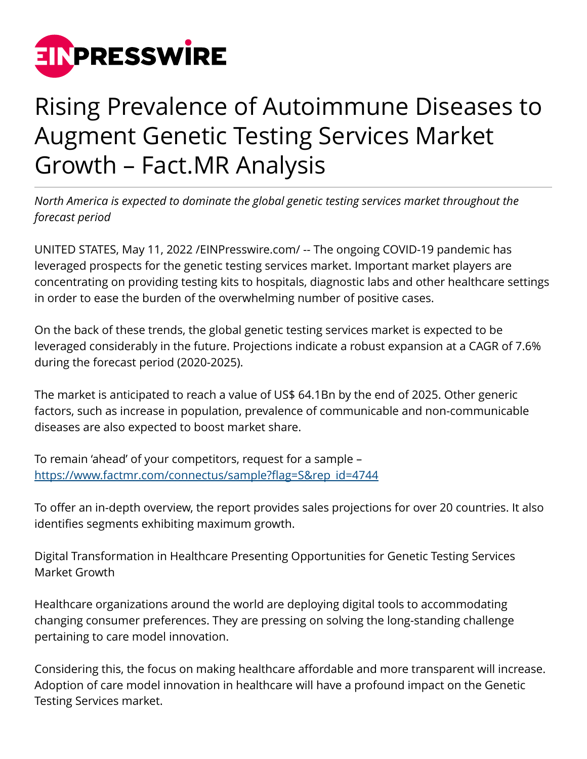

## Rising Prevalence of Autoimmune Diseases to Augment Genetic Testing Services Market Growth – Fact.MR Analysis

*North America is expected to dominate the global genetic testing services market throughout the forecast period*

UNITED STATES, May 11, 2022 /[EINPresswire.com/](http://www.einpresswire.com) -- The ongoing COVID-19 pandemic has leveraged prospects for the genetic testing services market. Important market players are concentrating on providing testing kits to hospitals, diagnostic labs and other healthcare settings in order to ease the burden of the overwhelming number of positive cases.

On the back of these trends, the global genetic testing services market is expected to be leveraged considerably in the future. Projections indicate a robust expansion at a CAGR of 7.6% during the forecast period (2020-2025).

The market is anticipated to reach a value of US\$ 64.1Bn by the end of 2025. Other generic factors, such as increase in population, prevalence of communicable and non-communicable diseases are also expected to boost market share.

To remain 'ahead' of your competitors, request for a sample – [https://www.factmr.com/connectus/sample?flag=S&rep\\_id=4744](https://www.factmr.com/connectus/sample?flag=S&rep_id=4744)

To offer an in-depth overview, the report provides sales projections for over 20 countries. It also identifies segments exhibiting maximum growth.

Digital Transformation in Healthcare Presenting Opportunities for Genetic Testing Services Market Growth

Healthcare organizations around the world are deploying digital tools to accommodating changing consumer preferences. They are pressing on solving the long-standing challenge pertaining to care model innovation.

Considering this, the focus on making healthcare affordable and more transparent will increase. Adoption of care model innovation in healthcare will have a profound impact on the Genetic Testing Services market.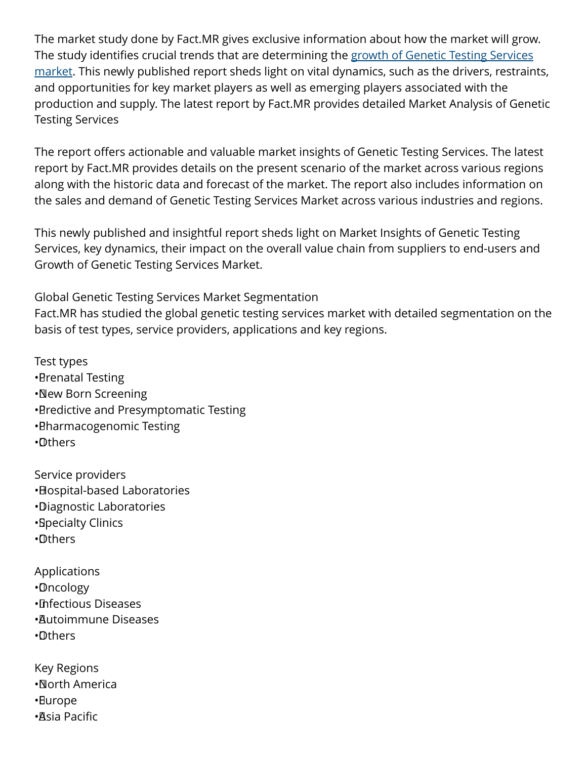The market study done by Fact.MR gives exclusive information about how the market will grow. The study identifies crucial trends that are determining the [growth of Genetic Testing Services](https://www.factmr.com/report/4744/genetic-testing-services-market) [market.](https://www.factmr.com/report/4744/genetic-testing-services-market) This newly published report sheds light on vital dynamics, such as the drivers, restraints, and opportunities for key market players as well as emerging players associated with the production and supply. The latest report by Fact.MR provides detailed Market Analysis of Genetic Testing Services

The report offers actionable and valuable market insights of Genetic Testing Services. The latest report by Fact.MR provides details on the present scenario of the market across various regions along with the historic data and forecast of the market. The report also includes information on the sales and demand of Genetic Testing Services Market across various industries and regions.

This newly published and insightful report sheds light on Market Insights of Genetic Testing Services, key dynamics, their impact on the overall value chain from suppliers to end-users and Growth of Genetic Testing Services Market.

Global Genetic Testing Services Market Segmentation

Fact.MR has studied the global genetic testing services market with detailed segmentation on the basis of test types, service providers, applications and key regions.

Test types • Brenatal Testing • New Born Screening • Predictive and Presymptomatic Testing • Pharmacogenomic Testing • Others

Service providers • Hospital-based Laboratories • Diagnostic Laboratories • Specialty Clinics • Others

Applications

• Oncology

• Infectious Diseases

• Autoimmune Diseases

• Others

Key Regions

• North America

• Europe

• Asia Pacific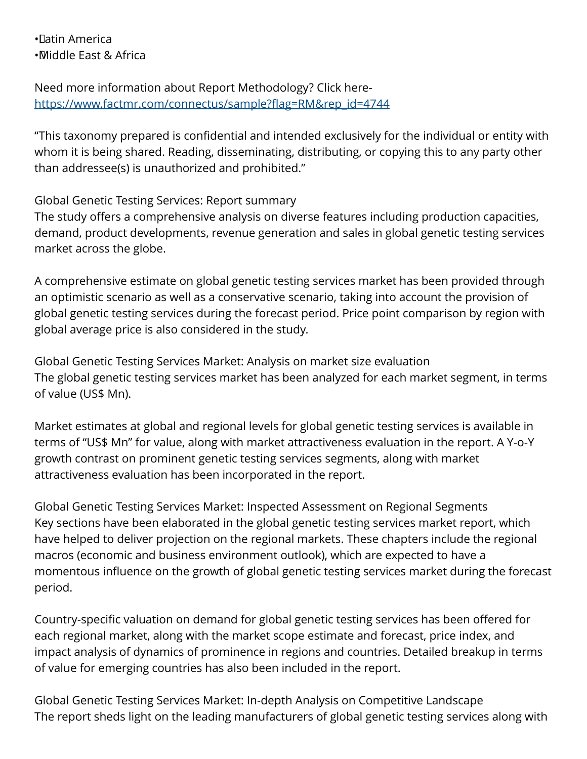• Latin America • Middle East & Africa

Need more information about Report Methodology? Click here[https://www.factmr.com/connectus/sample?flag=RM&rep\\_id=4744](https://www.factmr.com/connectus/sample?flag=RM&rep_id=4744)

"This taxonomy prepared is confidential and intended exclusively for the individual or entity with whom it is being shared. Reading, disseminating, distributing, or copying this to any party other than addressee(s) is unauthorized and prohibited."

Global Genetic Testing Services: Report summary

The study offers a comprehensive analysis on diverse features including production capacities, demand, product developments, revenue generation and sales in global genetic testing services market across the globe.

A comprehensive estimate on global genetic testing services market has been provided through an optimistic scenario as well as a conservative scenario, taking into account the provision of global genetic testing services during the forecast period. Price point comparison by region with global average price is also considered in the study.

Global Genetic Testing Services Market: Analysis on market size evaluation The global genetic testing services market has been analyzed for each market segment, in terms of value (US\$ Mn).

Market estimates at global and regional levels for global genetic testing services is available in terms of "US\$ Mn" for value, along with market attractiveness evaluation in the report. A Y-o-Y growth contrast on prominent genetic testing services segments, along with market attractiveness evaluation has been incorporated in the report.

Global Genetic Testing Services Market: Inspected Assessment on Regional Segments Key sections have been elaborated in the global genetic testing services market report, which have helped to deliver projection on the regional markets. These chapters include the regional macros (economic and business environment outlook), which are expected to have a momentous influence on the growth of global genetic testing services market during the forecast period.

Country-specific valuation on demand for global genetic testing services has been offered for each regional market, along with the market scope estimate and forecast, price index, and impact analysis of dynamics of prominence in regions and countries. Detailed breakup in terms of value for emerging countries has also been included in the report.

Global Genetic Testing Services Market: In-depth Analysis on Competitive Landscape The report sheds light on the leading manufacturers of global genetic testing services along with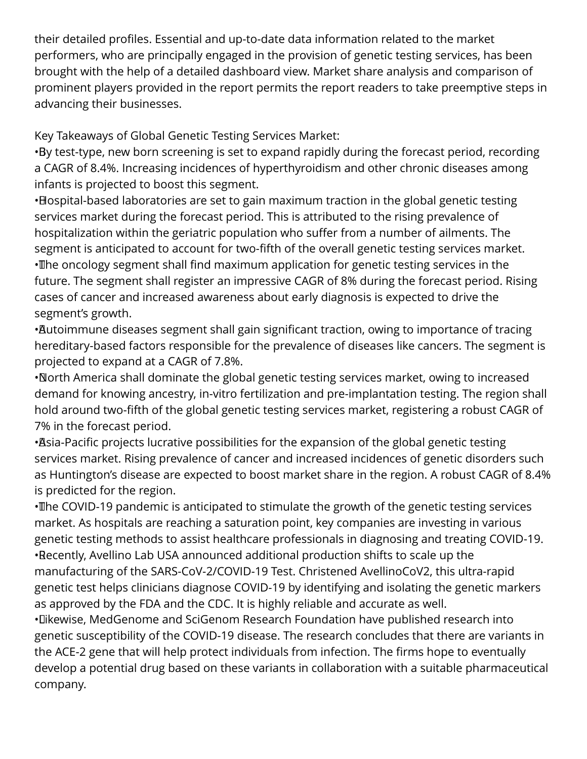their detailed profiles. Essential and up-to-date data information related to the market performers, who are principally engaged in the provision of genetic testing services, has been brought with the help of a detailed dashboard view. Market share analysis and comparison of prominent players provided in the report permits the report readers to take preemptive steps in advancing their businesses.

Key Takeaways of Global Genetic Testing Services Market:

• By test-type, new born screening is set to expand rapidly during the forecast period, recording a CAGR of 8.4%. Increasing incidences of hyperthyroidism and other chronic diseases among infants is projected to boost this segment.

• Hospital-based laboratories are set to gain maximum traction in the global genetic testing services market during the forecast period. This is attributed to the rising prevalence of hospitalization within the geriatric population who suffer from a number of ailments. The segment is anticipated to account for two-fifth of the overall genetic testing services market. • The oncology segment shall find maximum application for genetic testing services in the future. The segment shall register an impressive CAGR of 8% during the forecast period. Rising cases of cancer and increased awareness about early diagnosis is expected to drive the segment's growth.

• Autoimmune diseases segment shall gain significant traction, owing to importance of tracing hereditary-based factors responsible for the prevalence of diseases like cancers. The segment is projected to expand at a CAGR of 7.8%.

• North America shall dominate the global genetic testing services market, owing to increased demand for knowing ancestry, in-vitro fertilization and pre-implantation testing. The region shall hold around two-fifth of the global genetic testing services market, registering a robust CAGR of 7% in the forecast period.

• Asia-Pacific projects lucrative possibilities for the expansion of the global genetic testing services market. Rising prevalence of cancer and increased incidences of genetic disorders such as Huntington's disease are expected to boost market share in the region. A robust CAGR of 8.4% is predicted for the region.

• The COVID-19 pandemic is anticipated to stimulate the growth of the genetic testing services market. As hospitals are reaching a saturation point, key companies are investing in various genetic testing methods to assist healthcare professionals in diagnosing and treating COVID-19. • Recently, Avellino Lab USA announced additional production shifts to scale up the manufacturing of the SARS-CoV-2/COVID-19 Test. Christened AvellinoCoV2, this ultra-rapid genetic test helps clinicians diagnose COVID-19 by identifying and isolating the genetic markers as approved by the FDA and the CDC. It is highly reliable and accurate as well.

• Likewise, MedGenome and SciGenom Research Foundation have published research into genetic susceptibility of the COVID-19 disease. The research concludes that there are variants in the ACE-2 gene that will help protect individuals from infection. The firms hope to eventually develop a potential drug based on these variants in collaboration with a suitable pharmaceutical company.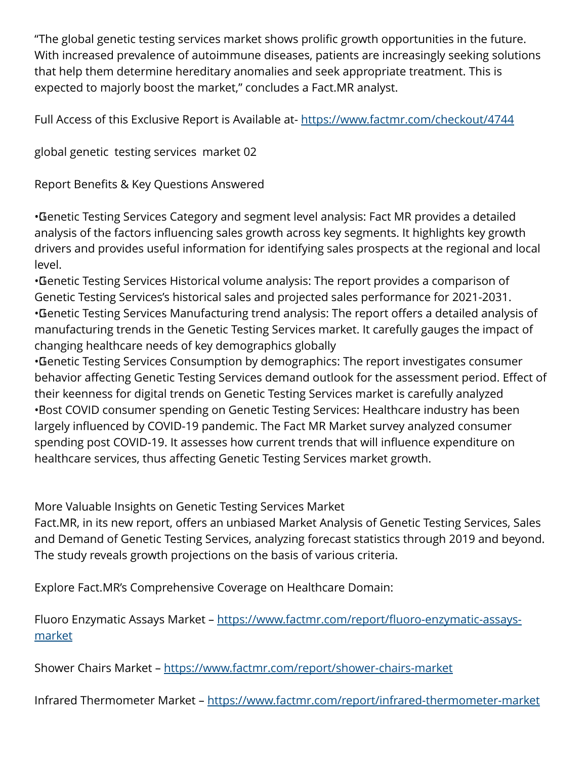"The global genetic testing services market shows prolific growth opportunities in the future. With increased prevalence of autoimmune diseases, patients are increasingly seeking solutions that help them determine hereditary anomalies and seek appropriate treatment. This is expected to majorly boost the market," concludes a Fact.MR analyst.

Full Access of this Exclusive Report is Available at-<https://www.factmr.com/checkout/4744>

global genetic testing services market 02

Report Benefits & Key Questions Answered

• Genetic Testing Services Category and segment level analysis: Fact MR provides a detailed analysis of the factors influencing sales growth across key segments. It highlights key growth drivers and provides useful information for identifying sales prospects at the regional and local level.

• Genetic Testing Services Historical volume analysis: The report provides a comparison of Genetic Testing Services's historical sales and projected sales performance for 2021-2031. • Genetic Testing Services Manufacturing trend analysis: The report offers a detailed analysis of manufacturing trends in the Genetic Testing Services market. It carefully gauges the impact of changing healthcare needs of key demographics globally

• Genetic Testing Services Consumption by demographics: The report investigates consumer behavior affecting Genetic Testing Services demand outlook for the assessment period. Effect of their keenness for digital trends on Genetic Testing Services market is carefully analyzed • Bost COVID consumer spending on Genetic Testing Services: Healthcare industry has been largely influenced by COVID-19 pandemic. The Fact MR Market survey analyzed consumer spending post COVID-19. It assesses how current trends that will influence expenditure on healthcare services, thus affecting Genetic Testing Services market growth.

More Valuable Insights on Genetic Testing Services Market

Fact.MR, in its new report, offers an unbiased Market Analysis of Genetic Testing Services, Sales and Demand of Genetic Testing Services, analyzing forecast statistics through 2019 and beyond. The study reveals growth projections on the basis of various criteria.

Explore Fact.MR's Comprehensive Coverage on Healthcare Domain:

Fluoro Enzymatic Assays Market – [https://www.factmr.com/report/fluoro-enzymatic-assays](https://www.factmr.com/report/fluoro-enzymatic-assays-market)[market](https://www.factmr.com/report/fluoro-enzymatic-assays-market)

Shower Chairs Market – <https://www.factmr.com/report/shower-chairs-market>

Infrared Thermometer Market -<https://www.factmr.com/report/infrared-thermometer-market>